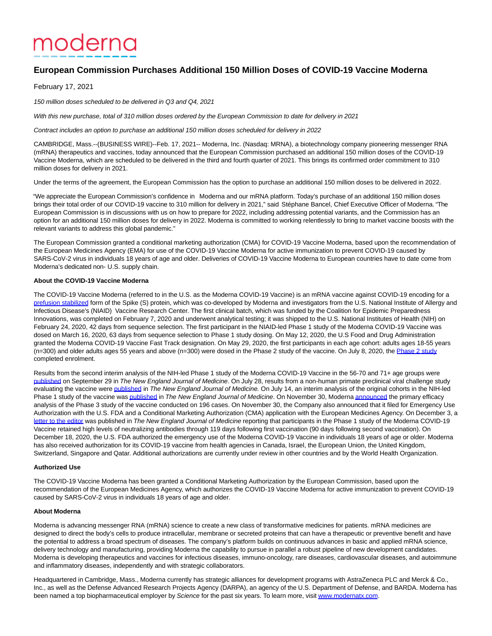# moderna

# **European Commission Purchases Additional 150 Million Doses of COVID-19 Vaccine Moderna**

February 17, 2021

150 million doses scheduled to be delivered in Q3 and Q4, 2021

With this new purchase, total of 310 million doses ordered by the European Commission to date for delivery in 2021

Contract includes an option to purchase an additional 150 million doses scheduled for delivery in 2022

CAMBRIDGE, Mass.--(BUSINESS WIRE)--Feb. 17, 2021-- Moderna, Inc. (Nasdaq: MRNA), a biotechnology company pioneering messenger RNA (mRNA) therapeutics and vaccines, today announced that the European Commission purchased an additional 150 million doses of the COVID-19 Vaccine Moderna, which are scheduled to be delivered in the third and fourth quarter of 2021. This brings its confirmed order commitment to 310 million doses for delivery in 2021.

Under the terms of the agreement, the European Commission has the option to purchase an additional 150 million doses to be delivered in 2022.

"We appreciate the European Commission's confidence in Moderna and our mRNA platform. Today's purchase of an additional 150 million doses brings their total order of our COVID-19 vaccine to 310 million for delivery in 2021," said Stéphane Bancel, Chief Executive Officer of Moderna. "The European Commission is in discussions with us on how to prepare for 2022, including addressing potential variants, and the Commission has an option for an additional 150 million doses for delivery in 2022. Moderna is committed to working relentlessly to bring to market vaccine boosts with the relevant variants to address this global pandemic."

The European Commission granted a conditional marketing authorization (CMA) for COVID-19 Vaccine Moderna, based upon the recommendation of the European Medicines Agency (EMA) for use of the COVID-19 Vaccine Moderna for active immunization to prevent COVID-19 caused by SARS-CoV-2 virus in individuals 18 years of age and older. Deliveries of COVID-19 Vaccine Moderna to European countries have to date come from Moderna's dedicated non- U.S. supply chain.

### **About the COVID-19 Vaccine Moderna**

The COVID-19 Vaccine Moderna (referred to in the U.S. as the Moderna COVID-19 Vaccine) is an mRNA vaccine against COVID-19 encoding for a [prefusion stabilized f](https://cts.businesswire.com/ct/CT?id=smartlink&url=https%3A%2F%2Fwww.niaid.nih.gov%2Fnews-events%2Fatomic-structure-novel-coronavirus-protein&esheet=52380436&newsitemid=20210217005523&lan=en-US&anchor=prefusion+stabilized&index=1&md5=0000edf349068a47222489a72bcafcc8)orm of the Spike (S) protein, which was co-developed by Moderna and investigators from the U.S. National Institute of Allergy and Infectious Disease's (NIAID) Vaccine Research Center. The first clinical batch, which was funded by the Coalition for Epidemic Preparedness Innovations, was completed on February 7, 2020 and underwent analytical testing; it was shipped to the U.S. National Institutes of Health (NIH) on February 24, 2020, 42 days from sequence selection. The first participant in the NIAID-led Phase 1 study of the Moderna COVID-19 Vaccine was dosed on March 16, 2020, 63 days from sequence selection to Phase 1 study dosing. On May 12, 2020, the U.S Food and Drug Administration granted the Moderna COVID-19 Vaccine Fast Track designation. On May 29, 2020, the first participants in each age cohort: adults ages 18-55 years (n=300) and older adults ages 55 years and above (n=300) were dosed in the [Phase 2 study](https://cts.businesswire.com/ct/CT?id=smartlink&url=https%3A%2F%2Finvestors.modernatx.com%2Fnews-releases%2Fnews-release-details%2Fmoderna-completes-enrollment-phase-2-study-its-mrna-vaccine&esheet=52380436&newsitemid=20210217005523&lan=en-US&anchor=Phase+2+study&index=2&md5=82bf66bb37bfea376966e2616e54a8dc) of the vaccine. On July 8, 2020, the Phase 2 study completed enrolment.

Results from the second interim analysis of the NIH-led Phase 1 study of the Moderna COVID-19 Vaccine in the 56-70 and 71+ age groups were [published o](https://cts.businesswire.com/ct/CT?id=smartlink&url=https%3A%2F%2Finvestors.modernatx.com%2Fnews-releases%2Fnews-release-details%2Fmoderna-announces-publication-new-england-journal-medicine-0&esheet=52380436&newsitemid=20210217005523&lan=en-US&anchor=published&index=3&md5=adcf067beecf9e4414f78760a52e4574)n September 29 in The New England Journal of Medicine. On July 28, results from a non-human primate preclinical viral challenge study evaluating the vaccine wer[e published i](https://cts.businesswire.com/ct/CT?id=smartlink&url=https%3A%2F%2Finvestors.modernatx.com%2Fnews-releases%2Fnews-release-details%2Fmoderna-announces-publication-new-england-journal-medicine-non&esheet=52380436&newsitemid=20210217005523&lan=en-US&anchor=published&index=4&md5=112878b48ec12bd130f5b54c465840fa)n The New England Journal of Medicine. On July 14, an interim analysis of the original cohorts in the NIH-led Phase 1 study of the vaccine wa[s published i](https://cts.businesswire.com/ct/CT?id=smartlink&url=https%3A%2F%2Finvestors.modernatx.com%2Fnews-releases%2Fnews-release-details%2Fmoderna-announces-publication-new-england-journal-medicine&esheet=52380436&newsitemid=20210217005523&lan=en-US&anchor=published&index=5&md5=c875468d1e583875cc88dc0621472def)n The New England Journal of Medicine. On November 30, Moderna [announced t](https://cts.businesswire.com/ct/CT?id=smartlink&url=https%3A%2F%2Finvestors.modernatx.com%2Fnews-releases%2Fnews-release-details%2Fmoderna-announces-primary-efficacy-analysis-phase-3-cove-study&esheet=52380436&newsitemid=20210217005523&lan=en-US&anchor=announced&index=6&md5=3d5e89f89deb583e9db5c6040a33ba9f)he primary efficacy analysis of the Phase 3 study of the vaccine conducted on 196 cases. On November 30, the Company also announced that it filed for Emergency Use Authorization with the U.S. FDA and a Conditional Marketing Authorization (CMA) application with the European Medicines Agency. On December 3, a [letter to the editor w](https://cts.businesswire.com/ct/CT?id=smartlink&url=https%3A%2F%2Finvestors.modernatx.com%2Fnews-releases%2Fnews-release-details%2Fmoderna-provides-updates-clinical-development-and-production-its&esheet=52380436&newsitemid=20210217005523&lan=en-US&anchor=letter+to+the+editor&index=7&md5=5ea7f5c07526078abca235e311b2bf38)as published in The New England Journal of Medicine reporting that participants in the Phase 1 study of the Moderna COVID-19 Vaccine retained high levels of neutralizing antibodies through 119 days following first vaccination (90 days following second vaccination). On December 18, 2020, the U.S. FDA authorized the emergency use of the Moderna COVID-19 Vaccine in individuals 18 years of age or older. Moderna has also received authorization for its COVID-19 vaccine from health agencies in Canada, Israel, the European Union, the United Kingdom, Switzerland, Singapore and Qatar. Additional authorizations are currently under review in other countries and by the World Health Organization.

### **Authorized Use**

The COVID-19 Vaccine Moderna has been granted a Conditional Marketing Authorization by the European Commission, based upon the recommendation of the European Medicines Agency, which authorizes the COVID-19 Vaccine Moderna for active immunization to prevent COVID-19 caused by SARS-CoV-2 virus in individuals 18 years of age and older.

## **About Moderna**

Moderna is advancing messenger RNA (mRNA) science to create a new class of transformative medicines for patients. mRNA medicines are designed to direct the body's cells to produce intracellular, membrane or secreted proteins that can have a therapeutic or preventive benefit and have the potential to address a broad spectrum of diseases. The company's platform builds on continuous advances in basic and applied mRNA science, delivery technology and manufacturing, providing Moderna the capability to pursue in parallel a robust pipeline of new development candidates. Moderna is developing therapeutics and vaccines for infectious diseases, immuno-oncology, rare diseases, cardiovascular diseases, and autoimmune and inflammatory diseases, independently and with strategic collaborators.

Headquartered in Cambridge, Mass., Moderna currently has strategic alliances for development programs with AstraZeneca PLC and Merck & Co., Inc., as well as the Defense Advanced Research Projects Agency (DARPA), an agency of the U.S. Department of Defense, and BARDA. Moderna has been named a top biopharmaceutical employer by Science for the past six years. To learn more, visi[t www.modernatx.com.](https://cts.businesswire.com/ct/CT?id=smartlink&url=http%3A%2F%2Fwww.modernatx.com&esheet=52380436&newsitemid=20210217005523&lan=en-US&anchor=www.modernatx.com&index=8&md5=91c9f68145cc198bffb16895ccd58749)